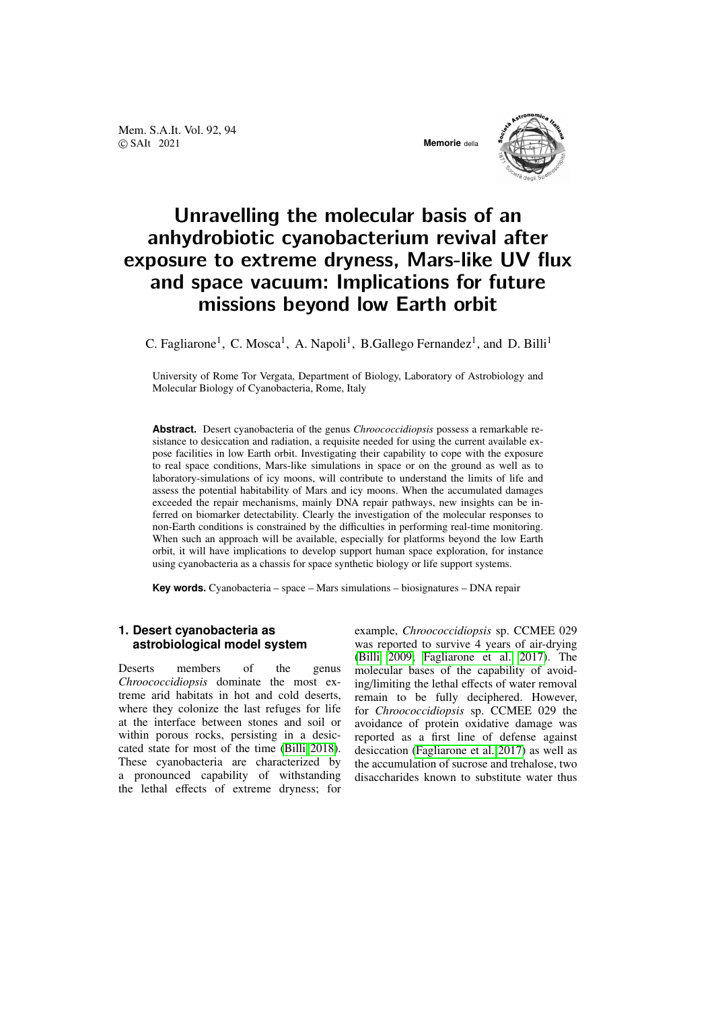Mem. S.A.It. Vol. 92, 94 © SAIt 2021 **Memorie** della



# Unravelling the molecular basis of an anhydrobiotic cyanobacterium revival after exposure to extreme dryness, Mars-like UV flux and space vacuum: Implications for future missions beyond low Earth orbit

C. Fagliarone<sup>1</sup>, C. Mosca<sup>1</sup>, A. Napoli<sup>1</sup>, B. Gallego Fernandez<sup>1</sup>, and D. Billi<sup>1</sup>

University of Rome Tor Vergata, Department of Biology, Laboratory of Astrobiology and Molecular Biology of Cyanobacteria, Rome, Italy

**Abstract.** Desert cyanobacteria of the genus *Chroococcidiopsis* possess a remarkable resistance to desiccation and radiation, a requisite needed for using the current available expose facilities in low Earth orbit. Investigating their capability to cope with the exposure to real space conditions, Mars-like simulations in space or on the ground as well as to laboratory-simulations of icy moons, will contribute to understand the limits of life and assess the potential habitability of Mars and icy moons. When the accumulated damages exceeded the repair mechanisms, mainly DNA repair pathways, new insights can be inferred on biomarker detectability. Clearly the investigation of the molecular responses to non-Earth conditions is constrained by the difficulties in performing real-time monitoring. When such an approach will be available, especially for platforms beyond the low Earth orbit, it will have implications to develop support human space exploration, for instance using cyanobacteria as a chassis for space synthetic biology or life support systems.

**Key words.** Cyanobacteria – space – Mars simulations – biosignatures – DNA repair

## **1. Desert cyanobacteria as astrobiological model system**

Deserts members of the genus *Chroococcidiopsis* dominate the most extreme arid habitats in hot and cold deserts, where they colonize the last refuges for life at the interface between stones and soil or within porous rocks, persisting in a desiccated state for most of the time [\(Billi 2018\)](#page-3-0). These cyanobacteria are characterized by a pronounced capability of withstanding the lethal effects of extreme dryness; for example, *Chroococcidiopsis* sp. CCMEE 029 was reported to survive 4 years of air-drying [\(Billi 2009;](#page-3-1) [Fagliarone et al. 2017\)](#page-4-0). The molecular bases of the capability of avoiding/limiting the lethal effects of water removal remain to be fully deciphered. However, for *Chroococcidiopsis* sp. CCMEE 029 the avoidance of protein oxidative damage was reported as a first line of defense against desiccation [\(Fagliarone et al. 2017\)](#page-4-0) as well as the accumulation of sucrose and trehalose, two disaccharides known to substitute water thus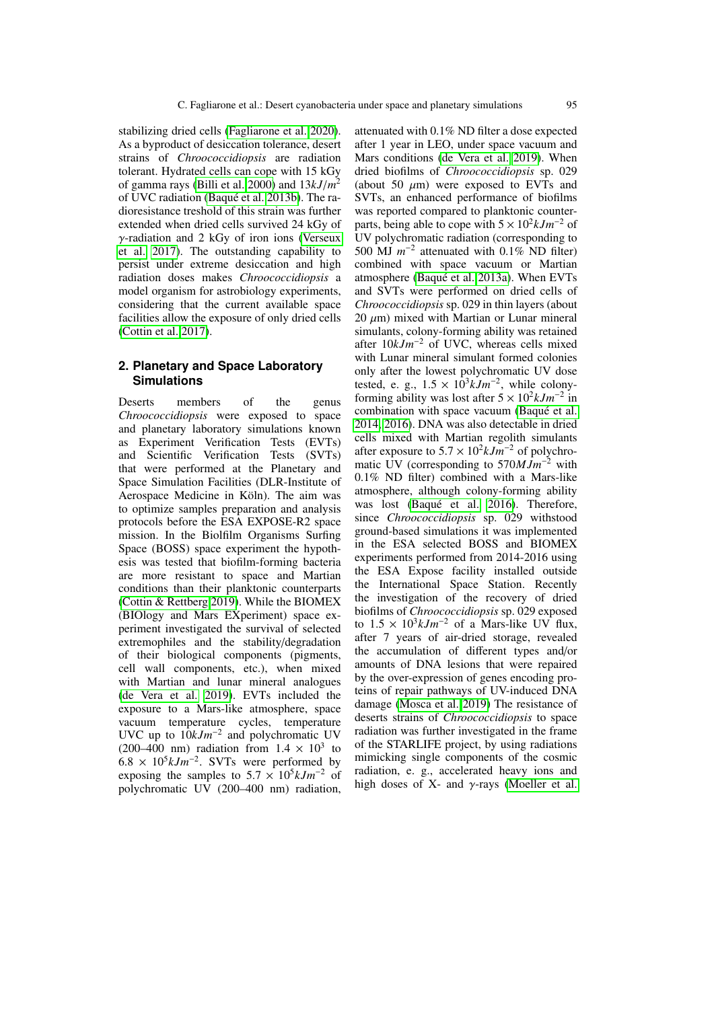stabilizing dried cells [\(Fagliarone et al. 2020\)](#page-4-1). As a byproduct of desiccation tolerance, desert strains of *Chroococcidiopsis* are radiation tolerant. Hydrated cells can cope with 15 kGy of gamma rays [\(Billi et al. 2000\)](#page-4-2) and 13*kJ*/*<sup>m</sup>* 2 of UVC radiation (Baqué et al. 2013b). The radioresistance treshold of this strain was further extended when dried cells survived 24 kGy of γ-radiation and 2 kGy of iron ions [\(Verseux](#page-4-3) [et al. 2017\)](#page-4-3). The outstanding capability to persist under extreme desiccation and high radiation doses makes *Chroococcidiopsis* a model organism for astrobiology experiments, considering that the current available space facilities allow the exposure of only dried cells [\(Cottin et al. 2017\)](#page-4-4).

## **2. Planetary and Space Laboratory Simulations**

Deserts members of the genus *Chroococcidiopsis* were exposed to space and planetary laboratory simulations known as Experiment Verification Tests (EVTs) and Scientific Verification Tests (SVTs) that were performed at the Planetary and Space Simulation Facilities (DLR-Institute of Aerospace Medicine in Köln). The aim was to optimize samples preparation and analysis protocols before the ESA EXPOSE-R2 space mission. In the Biolfilm Organisms Surfing Space (BOSS) space experiment the hypothesis was tested that biofilm-forming bacteria are more resistant to space and Martian conditions than their planktonic counterparts [\(Cottin & Rettberg 2019\)](#page-4-5). While the BIOMEX (BIOlogy and Mars EXperiment) space experiment investigated the survival of selected extremophiles and the stability/degradation of their biological components (pigments, cell wall components, etc.), when mixed with Martian and lunar mineral analogues [\(de Vera et al. 2019\)](#page-4-6). EVTs included the exposure to a Mars-like atmosphere, space vacuum temperature cycles, temperature UVC up to 10*kJm*<sup>−</sup><sup>2</sup> and polychromatic UV (200–400 nm) radiation from  $1.4 \times 10^3$  to  $6.8 \times 10^5$  k  $\text{Lm}^{-2}$  SVTs were performed by  $6.8 \times 10^5 kJm^{-2}$ . SVTs were performed by exposing the samples to  $5.7 \times 10^5 kJm^{-2}$  of exposing the samples to  $5.7 \times 10^5 k J m^{-2}$  of notice to  $1 \text{V}$  (200–400 nm) radiation polychromatic UV (200–400 nm) radiation, attenuated with 0.1% ND filter a dose expected after 1 year in LEO, under space vacuum and Mars conditions [\(de Vera et al. 2019\)](#page-4-6). When dried biofilms of *Chroococcidiopsis* sp. 029 (about 50  $\mu$ m) were exposed to EVTs and SVTs, an enhanced performance of biofilms was reported compared to planktonic counterparts, being able to cope with  $5 \times 10^2 k J m^{-2}$  of UV polychromatic radiation (corresponding to 500 MJ  $m^{-2}$  attenuated with 0.1% ND filter) combined with space vacuum or Martian atmosphere (Baqué et al. 2013a). When EVTs and SVTs were performed on dried cells of *Chroococcidiopsis* sp. 029 in thin layers (about  $20 \ \mu m$ ) mixed with Martian or Lunar mineral simulants, colony-forming ability was retained after 10*kJm*−<sup>2</sup> of UVC, whereas cells mixed with Lunar mineral simulant formed colonies only after the lowest polychromatic UV dose tested, e. g.,  $1.5 \times 10^3 kJm^{-2}$ , while colony-<br>forming ability was lost after  $5 \times 10^2 kJm^{-2}$  in forming ability was lost after  $5 \times 10^2 k J m^{-2}$  in combination with space vacuum (Baqué et al. [2014,](#page-3-4) [2016\)](#page-3-5). DNA was also detectable in dried cells mixed with Martian regolith simulants after exposure to  $5.7 \times 10^2 kJm^{-2}$  of polychromatic IIV (corresponding to  $570MJm^{-2}$  with matic UV (corresponding to 570*MJm*<sup>−</sup><sup>2</sup> with 0.1% ND filter) combined with a Mars-like atmosphere, although colony-forming ability was lost (Baqué et al. 2016). Therefore, since *Chroococcidiopsis* sp. 029 withstood ground-based simulations it was implemented in the ESA selected BOSS and BIOMEX experiments performed from 2014-2016 using the ESA Expose facility installed outside the International Space Station. Recently the investigation of the recovery of dried biofilms of *Chroococcidiopsis* sp. 029 exposed to  $1.5 \times 10^3 kJm^{-2}$  of a Mars-like UV flux,<br>after 7 years of air-dried storage, revealed after 7 years of air-dried storage, revealed the accumulation of different types and/or amounts of DNA lesions that were repaired by the over-expression of genes encoding proteins of repair pathways of UV-induced DNA damage [\(Mosca et al. 2019\)](#page-4-7) The resistance of deserts strains of *Chroococcidiopsis* to space radiation was further investigated in the frame of the STARLIFE project, by using radiations mimicking single components of the cosmic radiation, e. g., accelerated heavy ions and high doses of X- and  $\gamma$ -rays [\(Moeller et al.](#page-4-8)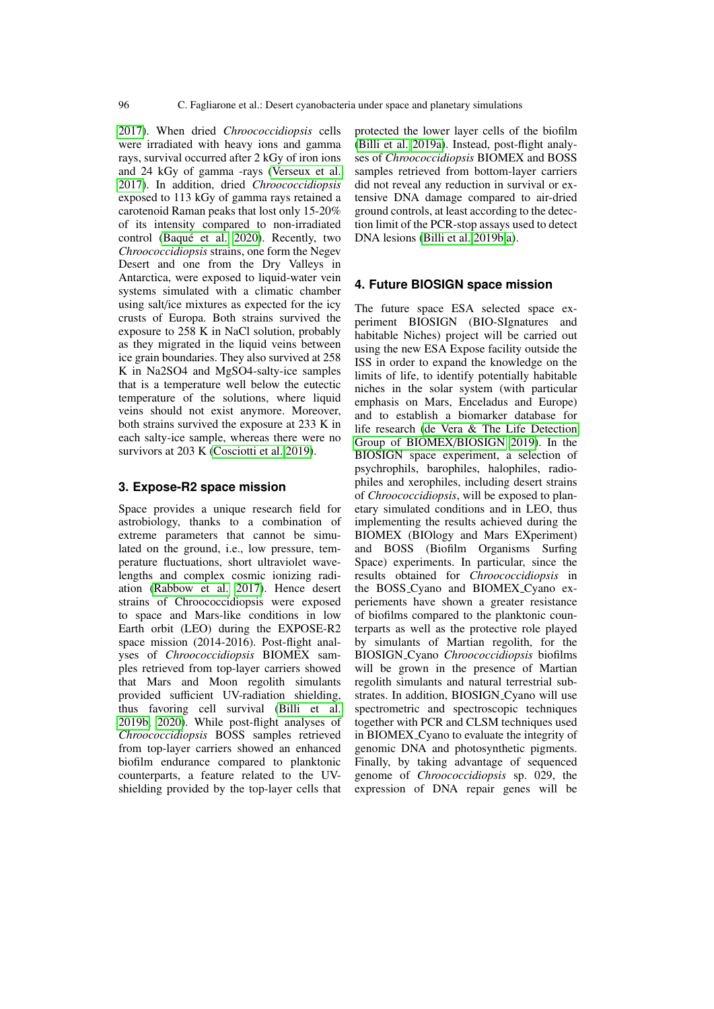[2017\)](#page-4-8). When dried *Chroococcidiopsis* cells were irradiated with heavy ions and gamma rays, survival occurred after 2 kGy of iron ions and 24 kGy of gamma -rays [\(Verseux et al.](#page-4-3) [2017\)](#page-4-3). In addition, dried *Chroococcidiopsis* exposed to 113 kGy of gamma rays retained a carotenoid Raman peaks that lost only 15-20% of its intensity compared to non-irradiated control (Baqué et al. 2020). Recently, two *Chroococcidiopsis* strains, one form the Negev Desert and one from the Dry Valleys in Antarctica, were exposed to liquid-water vein systems simulated with a climatic chamber using salt/ice mixtures as expected for the icy crusts of Europa. Both strains survived the exposure to 258 K in NaCl solution, probably as they migrated in the liquid veins between ice grain boundaries. They also survived at 258 K in Na2SO4 and MgSO4-salty-ice samples that is a temperature well below the eutectic temperature of the solutions, where liquid veins should not exist anymore. Moreover, both strains survived the exposure at 233 K in each salty-ice sample, whereas there were no survivors at 203 K [\(Cosciotti et al. 2019\)](#page-4-9).

#### **3. Expose-R2 space mission**

Space provides a unique research field for astrobiology, thanks to a combination of extreme parameters that cannot be simulated on the ground, i.e., low pressure, temperature fluctuations, short ultraviolet wavelengths and complex cosmic ionizing radiation [\(Rabbow et al. 2017\)](#page-4-10). Hence desert strains of Chroococcidiopsis were exposed to space and Mars-like conditions in low Earth orbit (LEO) during the EXPOSE-R2 space mission (2014-2016). Post-flight analyses of *Chroococcidiopsis* BIOMEX samples retrieved from top-layer carriers showed that Mars and Moon regolith simulants provided sufficient UV-radiation shielding, thus favoring cell survival [\(Billi et al.](#page-4-11) [2019b,](#page-4-11) [2020\)](#page-4-12). While post-flight analyses of *Chroococcidiopsis* BOSS samples retrieved from top-layer carriers showed an enhanced biofilm endurance compared to planktonic counterparts, a feature related to the UVshielding provided by the top-layer cells that protected the lower layer cells of the biofilm [\(Billi et al. 2019a\)](#page-4-13). Instead, post-flight analyses of *Chroococcidiopsis* BIOMEX and BOSS samples retrieved from bottom-layer carriers did not reveal any reduction in survival or extensive DNA damage compared to air-dried ground controls, at least according to the detection limit of the PCR-stop assays used to detect DNA lesions [\(Billi et al. 2019b](#page-4-11)[,a\)](#page-4-13).

## **4. Future BIOSIGN space mission**

The future space ESA selected space experiment BIOSIGN (BIO-SIgnatures and habitable Niches) project will be carried out using the new ESA Expose facility outside the ISS in order to expand the knowledge on the limits of life, to identify potentially habitable niches in the solar system (with particular emphasis on Mars, Enceladus and Europe) and to establish a biomarker database for life research [\(de Vera & The Life Detection](#page-4-14) [Group of BIOMEX](#page-4-14)/BIOSIGN [2019\)](#page-4-14). In the BIOSIGN space experiment, a selection of psychrophils, barophiles, halophiles, radiophiles and xerophiles, including desert strains of *Chroococcidiopsis*, will be exposed to planetary simulated conditions and in LEO, thus implementing the results achieved during the BIOMEX (BIOlogy and Mars EXperiment) and BOSS (Biofilm Organisms Surfing Space) experiments. In particular, since the results obtained for *Chroococcidiopsis* in the BOSS Cyano and BIOMEX Cyano experiements have shown a greater resistance of biofilms compared to the planktonic counterparts as well as the protective role played by simulants of Martian regolith, for the BIOSIGN Cyano *Chroococcidiopsis* biofilms will be grown in the presence of Martian regolith simulants and natural terrestrial substrates. In addition, BIOSIGN\_Cyano will use spectrometric and spectroscopic techniques together with PCR and CLSM techniques used in BIOMEX Cyano to evaluate the integrity of genomic DNA and photosynthetic pigments. Finally, by taking advantage of sequenced genome of *Chroococcidiopsis* sp. 029, the expression of DNA repair genes will be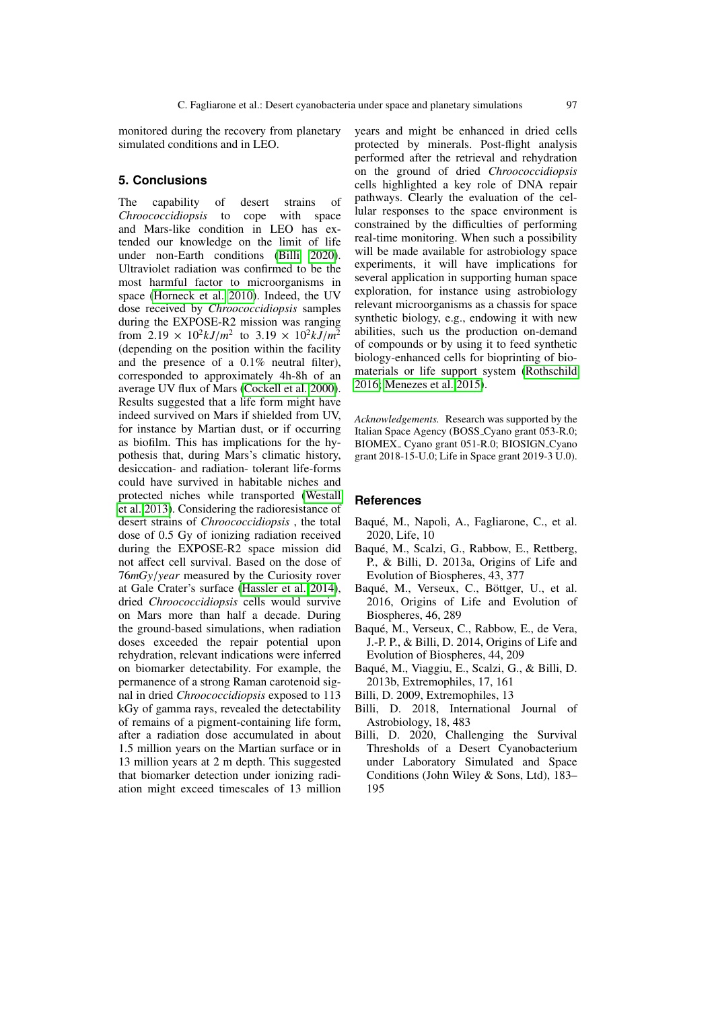monitored during the recovery from planetary simulated conditions and in LEO.

## **5. Conclusions**

The capability of desert strains of *Chroococcidiopsis* to cope with space and Mars-like condition in LEO has extended our knowledge on the limit of life under non-Earth conditions [\(Billi 2020\)](#page-3-7). Ultraviolet radiation was confirmed to be the most harmful factor to microorganisms in space [\(Horneck et al. 2010\)](#page-4-15). Indeed, the UV dose received by *Chroococcidiopsis* samples during the EXPOSE-R2 mission was ranging from  $2.19 \times 10^2 kJ/m^2$  to  $3.19 \times 10^2 kJ/m^2$ <br>(depending on the position within the facility (depending on the position within the facility and the presence of a 0.1% neutral filter), corresponded to approximately 4h-8h of an average UV flux of Mars [\(Cockell et al. 2000\)](#page-4-16). Results suggested that a life form might have indeed survived on Mars if shielded from UV, for instance by Martian dust, or if occurring as biofilm. This has implications for the hypothesis that, during Mars's climatic history, desiccation- and radiation- tolerant life-forms could have survived in habitable niches and protected niches while transported [\(Westall](#page-4-17) [et al. 2013\)](#page-4-17). Considering the radioresistance of desert strains of *Chroococcidiopsis* , the total dose of 0.5 Gy of ionizing radiation received during the EXPOSE-R2 space mission did not affect cell survival. Based on the dose of <sup>76</sup>*mGy*/*year* measured by the Curiosity rover at Gale Crater's surface [\(Hassler et al. 2014\)](#page-4-18), dried *Chroococcidiopsis* cells would survive on Mars more than half a decade. During the ground-based simulations, when radiation doses exceeded the repair potential upon rehydration, relevant indications were inferred on biomarker detectability. For example, the permanence of a strong Raman carotenoid signal in dried *Chroococcidiopsis* exposed to 113 kGy of gamma rays, revealed the detectability of remains of a pigment-containing life form, after a radiation dose accumulated in about 1.5 million years on the Martian surface or in 13 million years at 2 m depth. This suggested that biomarker detection under ionizing radiation might exceed timescales of 13 million

years and might be enhanced in dried cells protected by minerals. Post-flight analysis performed after the retrieval and rehydration on the ground of dried *Chroococcidiopsis* cells highlighted a key role of DNA repair pathways. Clearly the evaluation of the cellular responses to the space environment is constrained by the difficulties of performing real-time monitoring. When such a possibility will be made available for astrobiology space experiments, it will have implications for several application in supporting human space exploration, for instance using astrobiology relevant microorganisms as a chassis for space synthetic biology, e.g., endowing it with new abilities, such us the production on-demand of compounds or by using it to feed synthetic biology-enhanced cells for bioprinting of biomaterials or life support system [\(Rothschild](#page-4-19) [2016;](#page-4-19) [Menezes et al. 2015\)](#page-4-20).

*Acknowledgements.* Research was supported by the Italian Space Agency (BOSS Cyano grant 053-R.0; BIOMEX<sub>-</sub> Cyano grant 051-R.0; BIOSIGN<sub>-Cyano</sub> grant 2018-15-U.0; Life in Space grant 2019-3 U.0).

#### **References**

- <span id="page-3-6"></span>Baqué, M., Napoli, A., Fagliarone, C., et al. 2020, Life, 10
- <span id="page-3-3"></span>Baque, M., Scalzi, G., Rabbow, E., Rettberg, ´ P., & Billi, D. 2013a, Origins of Life and Evolution of Biospheres, 43, 377
- <span id="page-3-5"></span>Baqué, M., Verseux, C., Böttger, U., et al. 2016, Origins of Life and Evolution of Biospheres, 46, 289
- <span id="page-3-4"></span>Baque, M., Verseux, C., Rabbow, E., de Vera, ´ J.-P. P., & Billi, D. 2014, Origins of Life and Evolution of Biospheres, 44, 209
- <span id="page-3-2"></span>Baque, M., Viaggiu, E., Scalzi, G., & Billi, D. ´ 2013b, Extremophiles, 17, 161
- <span id="page-3-1"></span>Billi, D. 2009, Extremophiles, 13
- <span id="page-3-0"></span>Billi, D. 2018, International Journal of Astrobiology, 18, 483
- <span id="page-3-7"></span>Billi, D. 2020, Challenging the Survival Thresholds of a Desert Cyanobacterium under Laboratory Simulated and Space Conditions (John Wiley & Sons, Ltd), 183– 195